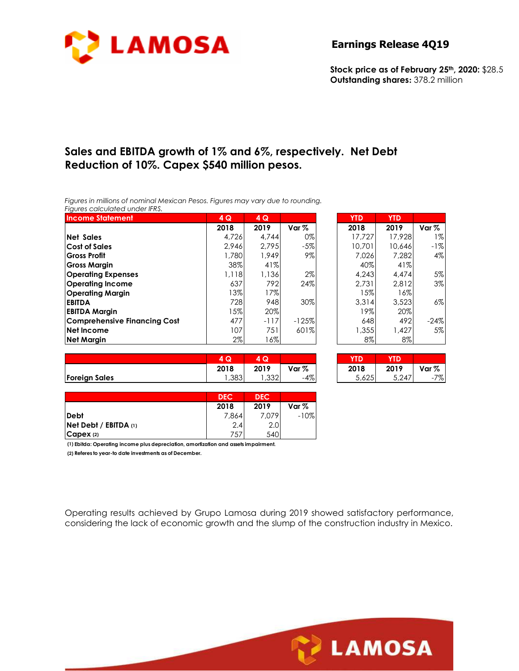

#### **Earnings Release 4Q19**

**Stock price as of February 25th, 2020:** \$28.5 **Outstanding shares:** 378.2 million

## **Sales and EBITDA growth of 1% and 6%, respectively. Net Debt Reduction of 10%. Capex \$540 million pesos.**

*Figures in millions of nominal Mexican Pesos. Figures may vary due to rounding. Figures calculated under IFRS.* 

| <b>Income Statement</b>             | 4 Q   | 4Q     |         | <b>YTD</b> | <b>YTD</b> |        |
|-------------------------------------|-------|--------|---------|------------|------------|--------|
|                                     | 2018  | 2019   | Var $%$ | 2018       | 2019       | Var %  |
| <b>Net Sales</b>                    | 4.726 | 4.744  | 0%      | 17.727     | 17,928     | 1%     |
| <b>Cost of Sales</b>                | 2.946 | 2.795  | $-5%$   | 10,701     | 10,646     | $-1%$  |
| <b>Gross Profit</b>                 | 1,780 | 1.949  | $9\%$   | 7.026      | 7.282      | 4%     |
| <b>Gross Margin</b>                 | 38%   | 41%    |         | 40%        | 41%        |        |
| <b>Operating Expenses</b>           | 1,118 | 1,136  | 2%      | 4,243      | 4.474      | 5%     |
| <b>Operating Income</b>             | 637   | 792    | 24%     | 2,731      | 2,812      | 3%     |
| <b>Operating Margin</b>             | 13%   | 17%    |         | 15%        | 16%        |        |
| <b>EBITDA</b>                       | 728   | 948    | 30%     | 3.314      | 3.523      | 6%     |
| <b>EBITDA Margin</b>                | 15%   | 20%    |         | 19%        | 20%        |        |
| <b>Comprehensive Financing Cost</b> | 477   | $-117$ | $-125%$ | 648        | 492        | $-24%$ |
| <b>Net Income</b>                   | 107   | 751    | 601%    | 1,355      | 1.427      | 5%     |
| <b>Net Margin</b>                   | $2\%$ | 16%    |         | $8\%$      | $8\%$      |        |

|                      | $\sim$<br>Q | Q           |       | YTD              | <b>TEX</b> |                         |
|----------------------|-------------|-------------|-------|------------------|------------|-------------------------|
|                      | 2018        | 2019        | Var % | 2018             | 2019       | Var %                   |
| <b>Foreign Sales</b> | ,383        | ລລດ<br>∠دد, | -4%   | 5 6 7 5<br>J,o∠J | 5,247      | 707<br>' 7o<br>$ \cdot$ |

| YTD    | YTD    |        |
|--------|--------|--------|
| 2018   | 2019   | Var %  |
| 17.727 | 17,928 | $1\%$  |
| 10,701 | 10,646 | -1%    |
| 7.026  | 7.282  | 4%     |
| 40%    | 41%    |        |
| 4,243  | 4.474  | 5%     |
| 2.731  | 2,812  | 3%     |
| 15%    | 16%    |        |
| 3,314  | 3,523  | 6%     |
| 19%    | 20%    |        |
| 648    | 492    | $-24%$ |
| 1,355  | 1,427  | 5%     |
| 8%     | 8%     |        |

| 4 Q  | Ю<br>Δ |       |       | TD    |       |
|------|--------|-------|-------|-------|-------|
| 2018 | 2019   | Var % | 2018  | 2019  | Var % |
| ,383 | .,332  | -4%   | 5,625 | 5,247 | 7%1   |

|                            | <b>DEC</b> | <b>DEC</b> |        |
|----------------------------|------------|------------|--------|
|                            | 2018       | 2019       | Var %  |
| Debt                       | 7,864      | 7,079      | $-10%$ |
| $ Net$ Debt / EBITDA $(1)$ | 2.4        | 2.0        |        |
| CapeX(2)                   | 757        | 540        |        |

**(1) Ebitda: Operating income plus depreciation, amortization and assets impairment.**

**(2) Referes to year-to date investments as of December.**

Operating results achieved by Grupo Lamosa during 2019 showed satisfactory performance, considering the lack of economic growth and the slump of the construction industry in Mexico.

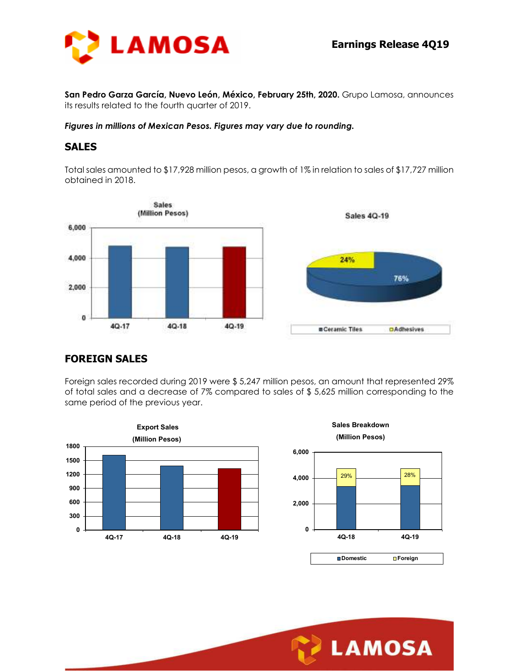

**San Pedro Garza García, Nuevo León, México, February 25th, 2020.** Grupo Lamosa, announces its results related to the fourth quarter of 2019.

*Figures in millions of Mexican Pesos. Figures may vary due to rounding.* 

#### **SALES**

Total sales amounted to \$17,928 million pesos, a growth of 1% in relation to sales of \$17,727 million obtained in 2018.



## **FOREIGN SALES**

Foreign sales recorded during 2019 were \$ 5,247 million pesos, an amount that represented 29% of total sales and a decrease of 7% compared to sales of \$ 5,625 million corresponding to the same period of the previous year.





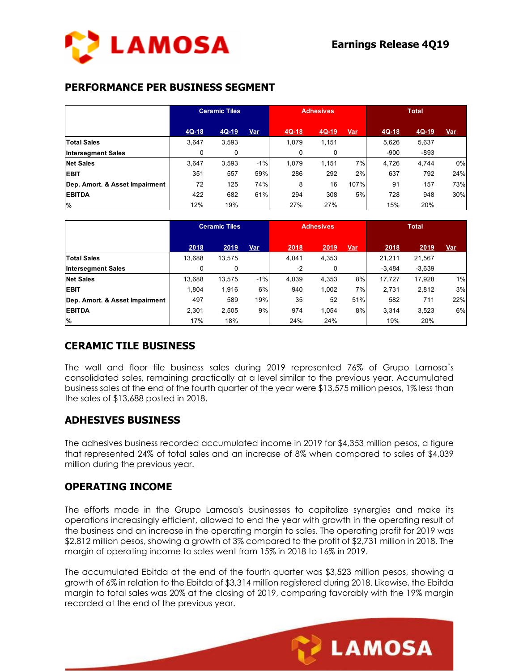

## **PERFORMANCE PER BUSINESS SEGMENT**

|                                | <b>Ceramic Tiles</b> |         | <b>Adhesives</b> |          |         | <b>Total</b> |         |         |            |
|--------------------------------|----------------------|---------|------------------|----------|---------|--------------|---------|---------|------------|
|                                | $4Q-18$              | $4Q-19$ | Var              | $4Q-18$  | $4Q-19$ | <u>Var</u>   | $4Q-18$ | $4Q-19$ | <u>Var</u> |
| <b>Total Sales</b>             | 3,647                | 3,593   |                  | 1.079    | 1,151   |              | 5,626   | 5,637   |            |
| <b>Intersegment Sales</b>      | 0                    | 0       |                  | $\Omega$ | 0       |              | $-900$  | $-893$  |            |
| <b>Net Sales</b>               | 3.647                | 3,593   | $-1%$            | 1.079    | 1,151   | 7%           | 4.726   | 4,744   | 0%         |
| <b>EBIT</b>                    | 351                  | 557     | 59%              | 286      | 292     | 2%           | 637     | 792     | 24%        |
| Dep. Amort. & Asset Impairment | 72                   | 125     | 74%              | 8        | 16      | 107%         | 91      | 157     | 73%        |
| <b>EBITDA</b>                  | 422                  | 682     | 61%              | 294      | 308     | 5%           | 728     | 948     | 30%        |
| $\%$                           | 12%                  | 19%     |                  | 27%      | 27%     |              | 15%     | 20%     |            |

|                                | <b>Ceramic Tiles</b> |        |       | <b>Adhesives</b> |       |            | <b>Total</b> |          |            |
|--------------------------------|----------------------|--------|-------|------------------|-------|------------|--------------|----------|------------|
|                                | 2018                 | 2019   | Var   | 2018             | 2019  | <u>Var</u> | 2018         | 2019     | <u>Var</u> |
| <b>Total Sales</b>             | 13,688               | 13,575 |       | 4.041            | 4,353 |            | 21,211       | 21,567   |            |
| <b>Intersegment Sales</b>      | 0                    | 0      |       | $-2$             | 0     |            | $-3,484$     | $-3,639$ |            |
| <b>Net Sales</b>               | 13,688               | 13,575 | $-1%$ | 4.039            | 4,353 | 8%         | 17.727       | 17,928   | $1\%$      |
| <b>EBIT</b>                    | 1.804                | 1,916  | 6%    | 940              | 1,002 | 7%         | 2.731        | 2,812    | 3%         |
| Dep. Amort. & Asset Impairment | 497                  | 589    | 19%   | 35               | 52    | 51%        | 582          | 711      | 22%        |
| <b>EBITDA</b>                  | 2,301                | 2,505  | 9%    | 974              | 1.054 | 8%         | 3,314        | 3,523    | 6%         |
| <b>%</b>                       | 17%                  | 18%    |       | 24%              | 24%   |            | 19%          | 20%      |            |

## **CERAMIC TILE BUSINESS**

The wall and floor tile business sales during 2019 represented 76% of Grupo Lamosa´s consolidated sales, remaining practically at a level similar to the previous year. Accumulated business sales at the end of the fourth quarter of the year were \$13,575 million pesos, 1% less than the sales of \$13,688 posted in 2018.

### **ADHESIVES BUSINESS**

The adhesives business recorded accumulated income in 2019 for \$4,353 million pesos, a figure that represented 24% of total sales and an increase of 8% when compared to sales of \$4,039 million during the previous year.

### **OPERATING INCOME**

The efforts made in the Grupo Lamosa's businesses to capitalize synergies and make its operations increasingly efficient, allowed to end the year with growth in the operating result of the business and an increase in the operating margin to sales. The operating profit for 2019 was \$2,812 million pesos, showing a growth of 3% compared to the profit of \$2,731 million in 2018. The margin of operating income to sales went from 15% in 2018 to 16% in 2019.

The accumulated Ebitda at the end of the fourth quarter was \$3,523 million pesos, showing a growth of 6% in relation to the Ebitda of \$3,314 million registered during 2018. Likewise, the Ebitda margin to total sales was 20% at the closing of 2019, comparing favorably with the 19% margin recorded at the end of the previous year.

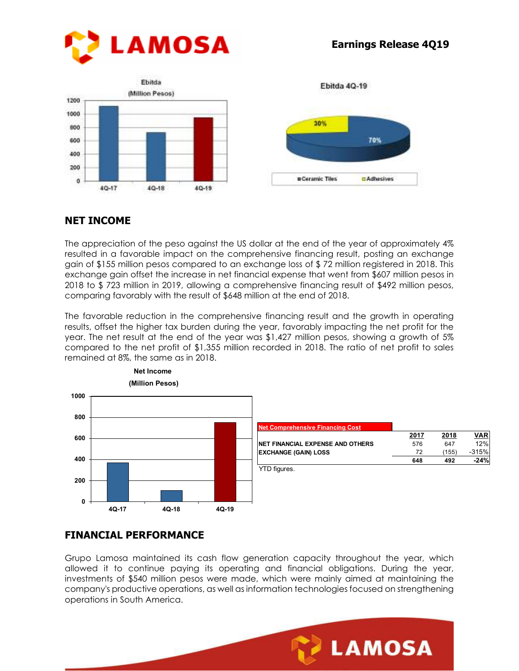





Ebitda 4Q-19

## **NET INCOME**

The appreciation of the peso against the US dollar at the end of the year of approximately 4% resulted in a favorable impact on the comprehensive financing result, posting an exchange gain of \$155 million pesos compared to an exchange loss of \$ 72 million registered in 2018. This exchange gain offset the increase in net financial expense that went from \$607 million pesos in 2018 to \$ 723 million in 2019, allowing a comprehensive financing result of \$492 million pesos, comparing favorably with the result of \$648 million at the end of 2018.

The favorable reduction in the comprehensive financing result and the growth in operating results, offset the higher tax burden during the year, favorably impacting the net profit for the year. The net result at the end of the year was \$1,427 million pesos, showing a growth of 5% compared to the net profit of \$1,355 million recorded in 2018. The ratio of net profit to sales remained at 8%, the same as in 2018.



# **FINANCIAL PERFORMANCE**

Grupo Lamosa maintained its cash flow generation capacity throughout the year, which allowed it to continue paying its operating and financial obligations. During the year, investments of \$540 million pesos were made, which were mainly aimed at maintaining the company's productive operations, as well as information technologies focused on strengthening operations in South America.